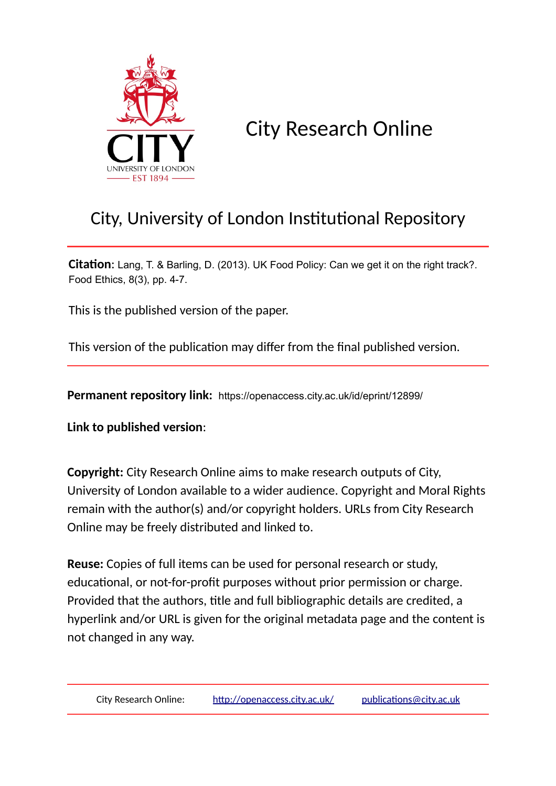

## City Research Online

### City, University of London Institutional Repository

**Citation**: Lang, T. & Barling, D. (2013). UK Food Policy: Can we get it on the right track?. Food Ethics, 8(3), pp. 4-7.

This is the published version of the paper.

This version of the publication may differ from the final published version.

**Permanent repository link:** https://openaccess.city.ac.uk/id/eprint/12899/

**Link to published version**:

**Copyright:** City Research Online aims to make research outputs of City, University of London available to a wider audience. Copyright and Moral Rights remain with the author(s) and/or copyright holders. URLs from City Research Online may be freely distributed and linked to.

**Reuse:** Copies of full items can be used for personal research or study, educational, or not-for-profit purposes without prior permission or charge. Provided that the authors, title and full bibliographic details are credited, a hyperlink and/or URL is given for the original metadata page and the content is not changed in any way.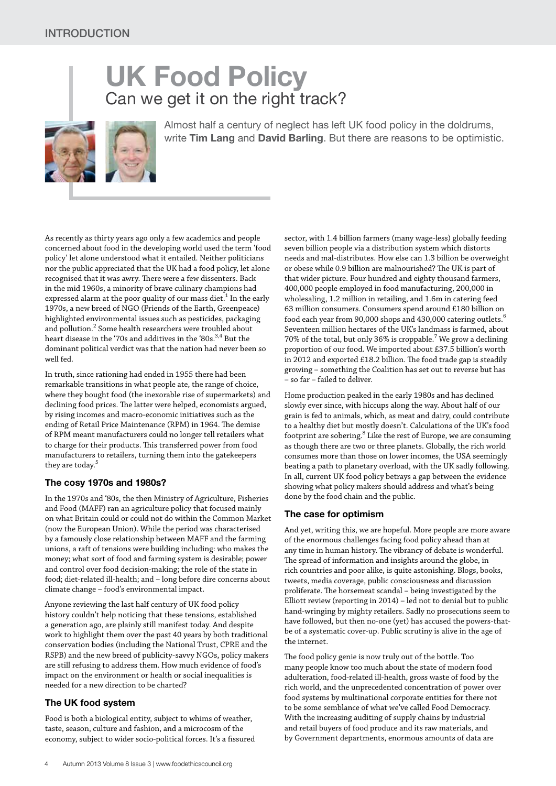# **UK Food Policy** Can we get it on the right track?

Almost half a century of neglect has left UK food policy in the doldrums, write **Tim Lang** and **David Barling**. But there are reasons to be optimistic.

As recently as thirty years ago only a few academics and people concerned about food in the developing world used the term 'food policy' let alone understood what it entailed. Neither politicians nor the public appreciated that the UK had a food policy, let alone recognised that it was awry. There were a few dissenters. Back in the mid 1960s, a minority of brave culinary champions had expressed alarm at the poor quality of our mass diet. $^{\rm 1}$  In the early 1970s, a new breed of NGO (Friends of the Earth, Greenpeace) highlighted environmental issues such as pesticides, packaging and pollution. $^2$  Some health researchers were troubled about heart disease in the '70s and additives in the '80s. $^{3,4}$  But the dominant political verdict was that the nation had never been so well fed.

In truth, since rationing had ended in 1955 there had been remarkable transitions in what people ate, the range of choice, where they bought food (the inexorable rise of supermarkets) and declining food prices. The latter were helped, economists argued, by rising incomes and macro-economic initiatives such as the ending of Retail Price Maintenance (RPM) in 1964. The demise of RPM meant manufacturers could no longer tell retailers what to charge for their products. This transferred power from food manufacturers to retailers, turning them into the gatekeepers they are today.<sup>5</sup>

#### **The cosy 1970s and 1980s?**

In the 1970s and '80s, the then Ministry of Agriculture, Fisheries and Food (MAFF) ran an agriculture policy that focused mainly on what Britain could or could not do within the Common Market (now the European Union). While the period was characterised by a famously close relationship between MAFF and the farming unions, a raft of tensions were building including: who makes the money; what sort of food and farming system is desirable; power and control over food decision-making; the role of the state in food; diet-related ill-health; and – long before dire concerns about climate change – food's environmental impact.

Anyone reviewing the last half century of UK food policy history couldn't help noticing that these tensions, established a generation ago, are plainly still manifest today. And despite work to highlight them over the past 40 years by both traditional conservation bodies (including the National Trust, CPRE and the RSPB) and the new breed of publicity-savvy NGOs, policy makers are still refusing to address them. How much evidence of food's impact on the environment or health or social inequalities is needed for a new direction to be charted?

#### **The UK food system**

Food is both a biological entity, subject to whims of weather, taste, season, culture and fashion, and a microcosm of the economy, subject to wider socio-political forces. It's a fissured sector, with 1.4 billion farmers (many wage-less) globally feeding seven billion people via a distribution system which distorts needs and mal-distributes. How else can 1.3 billion be overweight or obese while 0.9 billion are malnourished? The UK is part of that wider picture. Four hundred and eighty thousand farmers, 400,000 people employed in food manufacturing, 200,000 in wholesaling, 1.2 million in retailing, and 1.6m in catering feed 63 million consumers. Consumers spend around £180 billion on food each year from 90,000 shops and 430,000 catering outlets. $^6$ Seventeen million hectares of the UK's landmass is farmed, about  $70\%$  of the total, but only  $36\%$  is croppable.<sup>7</sup> We grow a declining proportion of our food. We imported about £37.5 billion's worth in 2012 and exported £18.2 billion. The food trade gap is steadily growing – something the Coalition has set out to reverse but has – so far – failed to deliver.

Home production peaked in the early 1980s and has declined slowly ever since, with hiccups along the way. About half of our grain is fed to animals, which, as meat and dairy, could contribute to a healthy diet but mostly doesn't. Calculations of the UK's food footprint are sobering.<sup>8</sup> Like the rest of Europe, we are consuming as though there are two or three planets. Globally, the rich world consumes more than those on lower incomes, the USA seemingly beating a path to planetary overload, with the UK sadly following. In all, current UK food policy betrays a gap between the evidence showing what policy makers should address and what's being done by the food chain and the public.

#### **The case for optimism**

And yet, writing this, we are hopeful. More people are more aware of the enormous challenges facing food policy ahead than at any time in human history. The vibrancy of debate is wonderful. The spread of information and insights around the globe, in rich countries and poor alike, is quite astonishing. Blogs, books, tweets, media coverage, public consciousness and discussion proliferate. The horsemeat scandal – being investigated by the Elliott review (reporting in 2014) – led not to denial but to public hand-wringing by mighty retailers. Sadly no prosecutions seem to have followed, but then no-one (yet) has accused the powers-thatbe of a systematic cover-up. Public scrutiny is alive in the age of the internet.

The food policy genie is now truly out of the bottle. Too many people know too much about the state of modern food adulteration, food-related ill-health, gross waste of food by the rich world, and the unprecedented concentration of power over food systems by multinational corporate entities for there not to be some semblance of what we've called Food Democracy. With the increasing auditing of supply chains by industrial and retail buyers of food produce and its raw materials, and by Government departments, enormous amounts of data are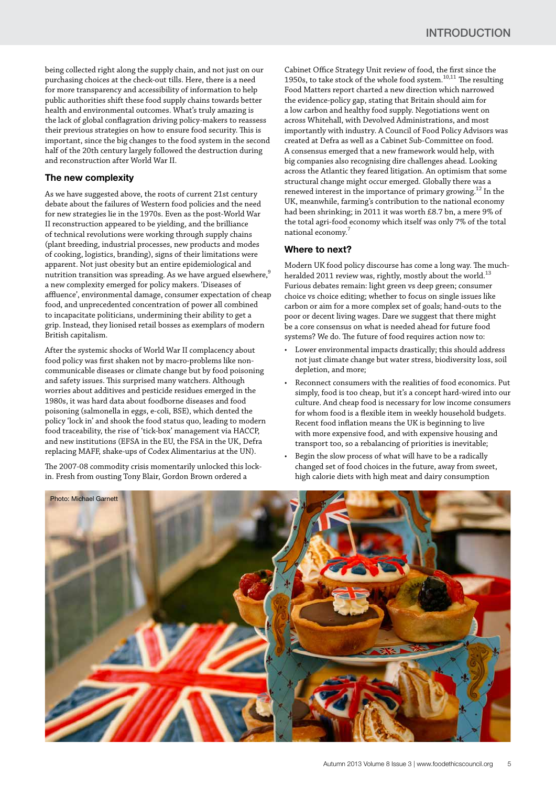being collected right along the supply chain, and not just on our purchasing choices at the check-out tills. Here, there is a need for more transparency and accessibility of information to help public authorities shift these food supply chains towards better health and environmental outcomes. What's truly amazing is the lack of global conflagration driving policy-makers to reassess their previous strategies on how to ensure food security. This is important, since the big changes to the food system in the second half of the 20th century largely followed the destruction during and reconstruction after World War II.

#### **The new complexity**

As we have suggested above, the roots of current 21st century debate about the failures of Western food policies and the need for new strategies lie in the 1970s. Even as the post-World War II reconstruction appeared to be yielding, and the brilliance of technical revolutions were working through supply chains (plant breeding, industrial processes, new products and modes of cooking, logistics, branding), signs of their limitations were apparent. Not just obesity but an entire epidemiological and nutrition transition was spreading. As we have argued elsewhere, $\frac{9}{2}$ a new complexity emerged for policy makers. 'Diseases of affluence', environmental damage, consumer expectation of cheap food, and unprecedented concentration of power all combined to incapacitate politicians, undermining their ability to get a grip. Instead, they lionised retail bosses as exemplars of modern British capitalism.

After the systemic shocks of World War II complacency about food policy was first shaken not by macro-problems like noncommunicable diseases or climate change but by food poisoning and safety issues. This surprised many watchers. Although worries about additives and pesticide residues emerged in the 1980s, it was hard data about foodborne diseases and food poisoning (salmonella in eggs, e-coli, BSE), which dented the policy 'lock in' and shook the food status quo, leading to modern food traceability, the rise of 'tick-box' management via HACCP, and new institutions (EFSA in the EU, the FSA in the UK, Defra replacing MAFF, shake-ups of Codex Alimentarius at the UN).

The 2007-08 commodity crisis momentarily unlocked this lockin. Fresh from ousting Tony Blair, Gordon Brown ordered a

Cabinet Office Strategy Unit review of food, the first since the 1950s, to take stock of the whole food system. $^{10,11}$  The resulting Food Matters report charted a new direction which narrowed the evidence-policy gap, stating that Britain should aim for a low carbon and healthy food supply. Negotiations went on across Whitehall, with Devolved Administrations, and most importantly with industry. A Council of Food Policy Advisors was created at Defra as well as a Cabinet Sub-Committee on food. A consensus emerged that a new framework would help, with big companies also recognising dire challenges ahead. Looking across the Atlantic they feared litigation. An optimism that some structural change might occur emerged. Globally there was a renewed interest in the importance of primary growing.<sup>12</sup> In the UK, meanwhile, farming's contribution to the national economy had been shrinking; in 2011 it was worth £8.7 bn, a mere 9% of the total agri-food economy which itself was only 7% of the total national economy.7

#### **Where to next?**

Modern UK food policy discourse has come a long way. The muchheralded 2011 review was, rightly, mostly about the world.<sup>13</sup> Furious debates remain: light green vs deep green; consumer choice vs choice editing; whether to focus on single issues like carbon or aim for a more complex set of goals; hand-outs to the poor or decent living wages. Dare we suggest that there might be a core consensus on what is needed ahead for future food systems? We do. The future of food requires action now to:

- Lower environmental impacts drastically; this should address not just climate change but water stress, biodiversity loss, soil depletion, and more;
- Reconnect consumers with the realities of food economics. Put simply, food is too cheap, but it's a concept hard-wired into our culture. And cheap food is necessary for low income consumers for whom food is a flexible item in weekly household budgets. Recent food inflation means the UK is beginning to live with more expensive food, and with expensive housing and transport too, so a rebalancing of priorities is inevitable;
- Begin the slow process of what will have to be a radically changed set of food choices in the future, away from sweet, high calorie diets with high meat and dairy consumption

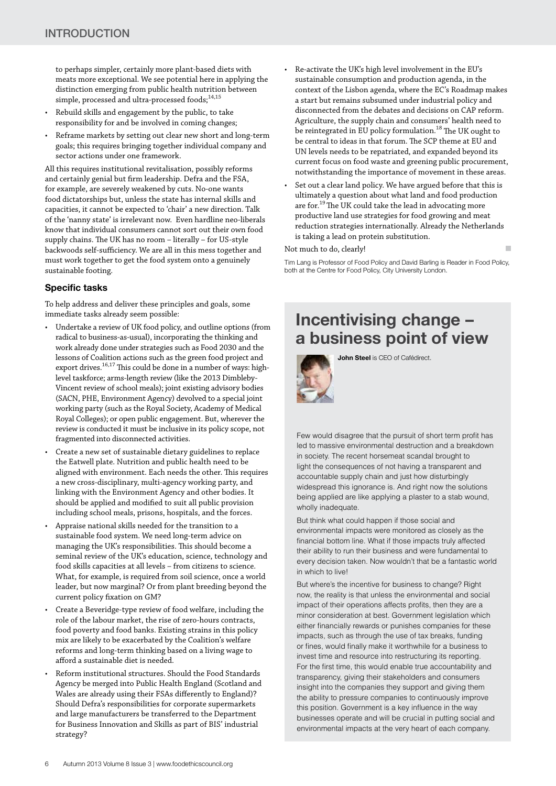to perhaps simpler, certainly more plant-based diets with meats more exceptional. We see potential here in applying the distinction emerging from public health nutrition between simple, processed and ultra-processed foods:<sup>14,15</sup>

- Rebuild skills and engagement by the public, to take responsibility for and be involved in coming changes;
- Reframe markets by setting out clear new short and long-term goals; this requires bringing together individual company and sector actions under one framework.

All this requires institutional revitalisation, possibly reforms and certainly genial but firm leadership. Defra and the FSA, for example, are severely weakened by cuts. No-one wants food dictatorships but, unless the state has internal skills and capacities, it cannot be expected to 'chair' a new direction. Talk of the 'nanny state' is irrelevant now. Even hardline neo-liberals know that individual consumers cannot sort out their own food supply chains. The UK has no room – literally – for US-style backwoods self-sufficiency. We are all in this mess together and must work together to get the food system onto a genuinely sustainable footing.

#### **Specific tasks**

To help address and deliver these principles and goals, some immediate tasks already seem possible:

- Undertake a review of UK food policy, and outline options (from radical to business-as-usual), incorporating the thinking and work already done under strategies such as Food 2030 and the lessons of Coalition actions such as the green food project and export drives.<sup>16,17</sup> This could be done in a number of ways: highlevel taskforce; arms-length review (like the 2013 Dimbleby-Vincent review of school meals); joint existing advisory bodies (SACN, PHE, Environment Agency) devolved to a special joint working party (such as the Royal Society, Academy of Medical Royal Colleges); or open public engagement. But, wherever the review is conducted it must be inclusive in its policy scope, not fragmented into disconnected activities.
- Create a new set of sustainable dietary guidelines to replace the Eatwell plate. Nutrition and public health need to be aligned with environment. Each needs the other. This requires a new cross-disciplinary, multi-agency working party, and linking with the Environment Agency and other bodies. It should be applied and modified to suit all public provision including school meals, prisons, hospitals, and the forces.
- Appraise national skills needed for the transition to a sustainable food system. We need long-term advice on managing the UK's responsibilities. This should become a seminal review of the UK's education, science, technology and food skills capacities at all levels – from citizens to science. What, for example, is required from soil science, once a world leader, but now marginal? Or from plant breeding beyond the current policy fixation on GM?
- Create a Beveridge-type review of food welfare, including the role of the labour market, the rise of zero-hours contracts, food poverty and food banks. Existing strains in this policy mix are likely to be exacerbated by the Coalition's welfare reforms and long-term thinking based on a living wage to afford a sustainable diet is needed.
- Reform institutional structures. Should the Food Standards Agency be merged into Public Health England (Scotland and Wales are already using their FSAs differently to England)? Should Defra's responsibilities for corporate supermarkets and large manufacturers be transferred to the Department for Business Innovation and Skills as part of BIS' industrial strategy?
- Re-activate the UK's high level involvement in the EU's sustainable consumption and production agenda, in the context of the Lisbon agenda, where the EC's Roadmap makes a start but remains subsumed under industrial policy and disconnected from the debates and decisions on CAP reform. Agriculture, the supply chain and consumers' health need to be reintegrated in EU policy formulation.<sup>18</sup> The UK ought to be central to ideas in that forum. The SCP theme at EU and UN levels needs to be repatriated, and expanded beyond its current focus on food waste and greening public procurement, notwithstanding the importance of movement in these areas.
- Set out a clear land policy. We have argued before that this is ultimately a question about what land and food production are for.<sup>19</sup> The UK could take the lead in advocating more productive land use strategies for food growing and meat reduction strategies internationally. Already the Netherlands is taking a lead on protein substitution.

#### Not much to do, clearly!

Tim Lang is Professor of Food Policy and David Barling is Reader in Food Policy, both at the Centre for Food Policy, City University London.

п

### **Incentivising change – a business point of view**

**John Steel** is CEO of Cafédirect.



Few would disagree that the pursuit of short term profit has led to massive environmental destruction and a breakdown in society. The recent horsemeat scandal brought to light the consequences of not having a transparent and accountable supply chain and just how disturbingly widespread this ignorance is. And right now the solutions being applied are like applying a plaster to a stab wound, wholly inadequate.

But think what could happen if those social and environmental impacts were monitored as closely as the financial bottom line. What if those impacts truly affected their ability to run their business and were fundamental to every decision taken. Now wouldn't that be a fantastic world in which to live!

But where's the incentive for business to change? Right now, the reality is that unless the environmental and social impact of their operations affects profits, then they are a minor consideration at best. Government legislation which either financially rewards or punishes companies for these impacts, such as through the use of tax breaks, funding or fines, would finally make it worthwhile for a business to invest time and resource into restructuring its reporting. For the first time, this would enable true accountability and transparency, giving their stakeholders and consumers insight into the companies they support and giving them the ability to pressure companies to continuously improve this position. Government is a key influence in the way businesses operate and will be crucial in putting social and environmental impacts at the very heart of each company.